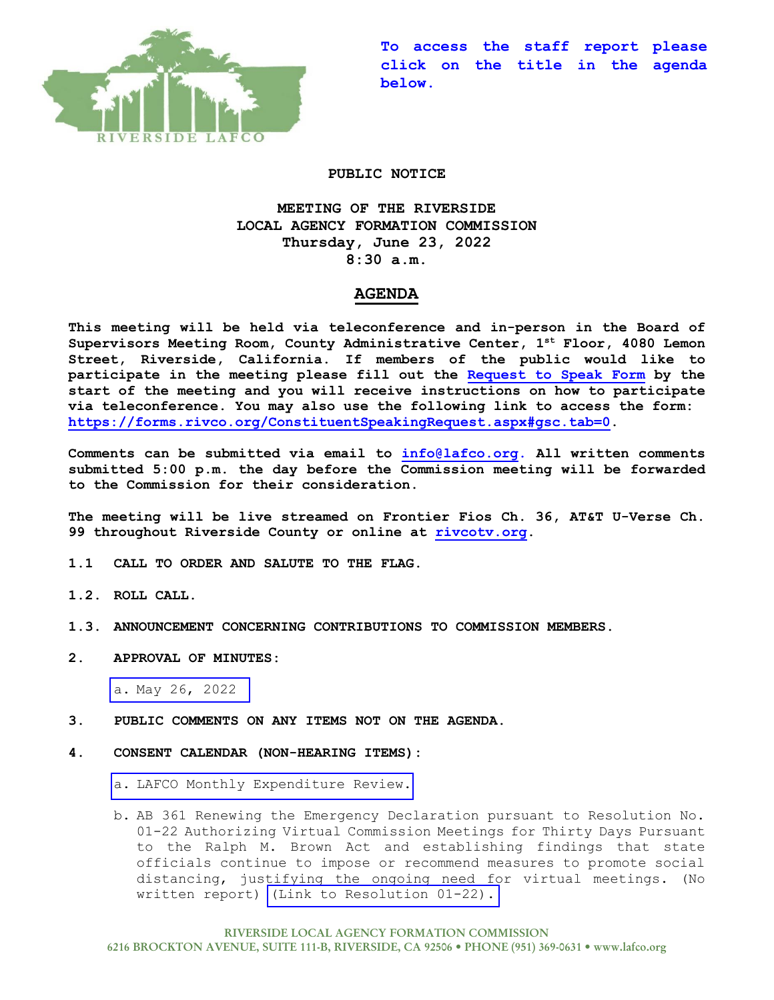

**To access the staff report please click on the title in the agenda below.** 

### **PUBLIC NOTICE**

# **MEETING OF THE RIVERSIDE LOCAL AGENCY FORMATION COMMISSION Thursday, June 23, 2022 8:30 a.m.**

## **AGENDA**

**This meeting will be held via teleconference and in-person in the Board of Supervisors Meeting Room, County Administrative Center, 1st Floor, 4080 Lemon Street, Riverside, California. If members of the public would like to participate in the meeting please fill out the Request to Speak Form by the start of the meeting and you will receive instructions on how to participate via teleconference. You may also use the following link to access the form: https://forms.rivco.org/ConstituentSpeakingRequest.aspx#gsc.tab=0.**

**Comments can be submitted via email to info@lafco.org. All written comments submitted 5:00 p.m. the day before the Commission meeting will be forwarded to the Commission for their consideration.**

**The meeting will be live streamed on Frontier Fios Ch. 36, AT&T U-Verse Ch. 99 throughout Riverside County or online at rivcotv.org.** 

- **1.1 CALL TO ORDER AND SALUTE TO THE FLAG.**
- **1.2. ROLL CALL.**
- **1.3. ANNOUNCEMENT CONCERNING CONTRIBUTIONS TO COMMISSION MEMBERS.**
- **2. APPROVAL OF MINUTES:**

a. [May 26, 2022](https://lafco.org/wp-content/uploads/documents/june-23-2022-lafco-meeting/2.a.%20Minutes%20of%205-26-2022%20Meeting.pdf)

- **3. PUBLIC COMMENTS ON ANY ITEMS NOT ON THE AGENDA.**
- **4. CONSENT CALENDAR (NON-HEARING ITEMS):**

a. [LAFCO Monthly Expenditure Review.](https://lafco.org/wp-content/uploads/documents/june-23-2022-lafco-meeting/4.a.%20Monthly%20Expenditure%20Rpt%206-23-22.pdf)

b. AB 361 Renewing the Emergency Declaration pursuant to Resolution No. 01-22 Authorizing Virtual Commission Meetings for Thirty Days Pursuant to the Ralph M. Brown Act and establishing findings that state officials continue to impose or recommend measures to promote social distancing, justifying the ongoing need for virtual meetings. (No written report) [\(Link to Resolution 01-22\).](https://lafco.org/wp-content/uploads/documents/june-23-2022-lafco-meeting/4.b.%20Reso%2001-22%20-%20AB%20361%20fully%20executed.pdf)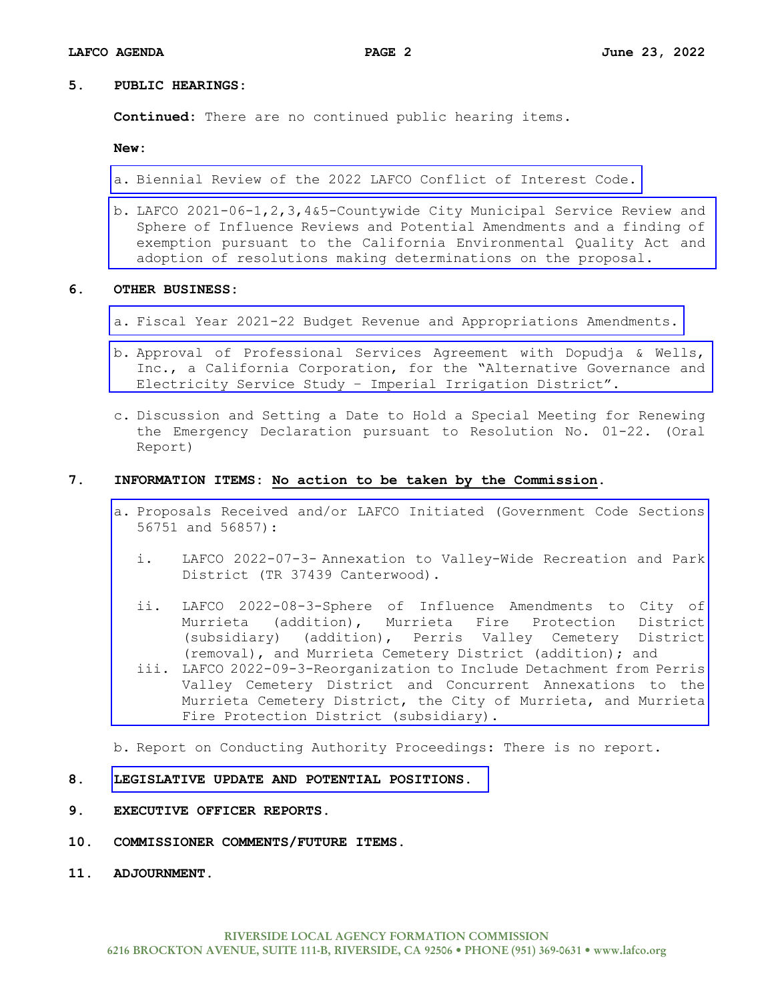#### **5. PUBLIC HEARINGS:**

**Continued:** There are no continued public hearing items.

**New:**

- a. [Biennial Review of the 2022 LAFCO Conflict of Interest Code.](https://lafco.org/wp-content/uploads/documents/june-23-2022-lafco-meeting/5.a.%20Biennial%20Review%20of%202022%20Conflict%20of%20Interest%20Code.pdf)
- b. LAFCO 2021-06-1,2,3,4&5-Countywide City Municipal Service Review and [Sphere of Influence Reviews and Potential Amendments and a finding of](https://lafco.org/studies/municipal-service-reviews/2018-2022/)  exemption pursuant to the California Environmental Quality Act and adoption of resolutions making determinations on the proposal.

#### **6. OTHER BUSINESS:**

- a. [Fiscal Year 2021-22 Budget Revenue and Appropriations Amendments.](https://lafco.org/wp-content/uploads/documents/june-23-2022-lafco-meeting/6.a.%20FY%202021-22%20Budget%20Revenue%20&%20Appropriations%20Amend.pdf)
- b. Approval of Professional Services Agreement with Dopudja & Wells, [Inc., a California Corporation, for the "Alternative Governance and](https://lafco.org/wp-content/uploads/documents/june-23-2022-lafco-meeting/6.b.%20Approve%20PSA%20Dopudja%20&%20Wells%20-%20IID%20Study.pdf)  Electricity Service Study – Imperial Irrigation District".
- c. Discussion and Setting a Date to Hold a Special Meeting for Renewing the Emergency Declaration pursuant to Resolution No. 01-22. (Oral Report)

#### **7. INFORMATION ITEMS: No action to be taken by the Commission.**

- a. [Proposals Received and/or LAFCO Initiated \(Government Code Sections](https://lafco.org/wp-content/uploads/documents/june-23-2022-lafco-meeting/7.a.%20Proposals%20Received%20and%20LAFCO%20Initiated.pdf)  56751 and 56857):
	- i. LAFCO 2022-07-3- Annexation to Valley-Wide Recreation and Park District (TR 37439 Canterwood).
	- ii. LAFCO 2022-08-3-Sphere of Influence Amendments to City of Murrieta (addition), Murrieta Fire Protection District (subsidiary) (addition), Perris Valley Cemetery District (removal), and Murrieta Cemetery District (addition); and
	- iii. LAFCO 2022-09-3-Reorganization to Include Detachment from Perris Valley Cemetery District and Concurrent Annexations to the Murrieta Cemetery District, the City of Murrieta, and Murrieta Fire Protection District (subsidiary).

b. Report on Conducting Authority Proceedings: There is no report.

#### **8. [LEGISLATIVE UPDATE AND POTENTIAL POSITIONS.](https://lafco.org/wp-content/uploads/documents/june-23-2022-lafco-meeting/8.%20Legislative%20Update%20Rpt%206-23-2022.pdf)**

- **9. EXECUTIVE OFFICER REPORTS.**
- **10. COMMISSIONER COMMENTS/FUTURE ITEMS.**
- **11. ADJOURNMENT.**